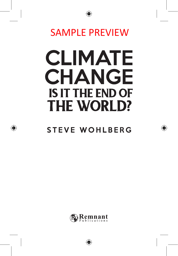

## SAMPLE PREVIEW

# **CLIMATE CHANGE** IS IT THE END OF THE WORLD?

## STEVE WOHLBERG

♠



⊕

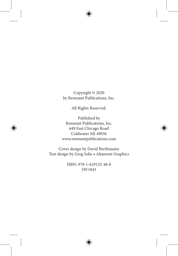

Copyright © 2020 by Remnant Publications, Inc.

All Rights Reserved.

Published by Remnant Publications, Inc. 649 East Chicago Road Coldwater MI 49036 www.remnantpublications.com

Cover design by David Berthiaume Text design by Greg Solie • Altamont Graphics

> ISBN: 978-1-629132-48-8 SW1043



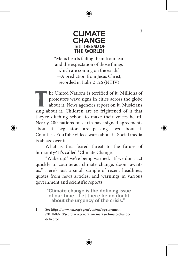

### CLIMATE **CHANGE** IS IT THE END OF THE WORLD?

"Men's hearts failing them from fear and the expectation of those things which are coming on the earth." —A prediction from Jesus Christ, recorded in Luke 21:26 (NKJV)

The United Nations is terrified of it. Millions of<br>protestors wave signs in cities across the globe<br>about it. News agencies report on it. Musicians protestors wave signs in cities across the globe about it. News agencies report on it. Musicians sing about it. Children are so frightened of it that they're ditching school to make their voices heard. Nearly 200 nations on earth have signed agreements about it. Legislators are passing laws about it. Countless YouTube videos warn about it. Social media is ablaze over it.

What is this feared threat to the future of humanity? It's called "Climate Change."

"Wake up!" we're being warned. "If we don't act quickly to counteract climate change, doom awaits us." Here's just a small sample of recent headlines, quotes from news articles, and warnings in various government and scientific reports:

> "Climate change is the defining issue of our time…Let there be no doubt about the urgency of the crisis."<sup>1</sup>

3

<sup>1</sup> See https://www.un.org/sg/en/content/sg/statement /2018-09-10/secretary-generals-remarks-climate-changedelivered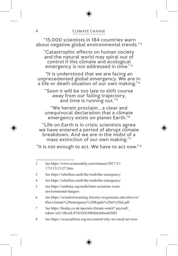"15,000 scientists in 184 countries warn about negative global environmental trends."<sup>2</sup>

"Catastrophic effects on human society and the natural world may spiral out of control if this climate and ecological emergency is not addressed in time." <sup>3</sup>

"It is understood that we are facing an unprecedented global emergency. We are in a life or death situation of our own making." <sup>4</sup>

"Soon it will be too late to shift course away from our failing trajectory, and time is running out." <sup>5</sup>

"We herein proclaim…a clear and unequivocal declaration that a climate emergency exists on planet Earth."6

"Life on Earth is in crisis; scientists agree we have entered a period of abrupt climate breakdown. And we are in the midst of a mass extinction of our own making." <sup>7</sup>

"It is not enough to act. We have to act now." <sup>8</sup>

- 6 See https://scientistswarning.forestry.oregonstate.edu/sites/sw/ files/climate%20emergency%20Ripple%20et%20al.pdf
- 7 See https://theday.co.uk/specials/climate-watch? paywall\_ token=wiCvIKx6LfrVh54XrMHdzkrh6ieskDSD
- 8 See https://ccacoalition.org/en/content/why-we-need-act-now

<sup>2</sup> See https://www.sciencedaily.com/releases/2017/11/ 171113111127.htm

<sup>3</sup> See https://rebellion.earth/the-truth/the-emergency/

<sup>4</sup> See https://rebellion.earth/the-truth/the-emergency/

<sup>5</sup> See https://earthsky.org/earth/letter-scientists-warnenvironmental-dangers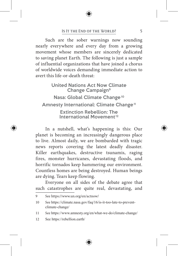#### IS IT THE END OF THE WORLD? 5

Such are the sober warnings now sounding nearly everywhere and every day from a growing movement whose members are sincerely dedicated to saving planet Earth. The following is just a sample of influential organizations that have joined a chorus of worldwide voices demanding immediate action to avert this life-or-death threat:

United Nations Act Now Climate Change Campaign9 Nasa: Global Climate Change<sup>10</sup> Amnesty International: Climate Change<sup>11</sup> Extinction Rebellion: The International Movement <sup>12</sup>

In a nutshell, what's happening is this: Our planet is becoming an increasingly dangerous place to live. Almost daily, we are bombarded with tragic news reports covering the latest deadly disaster. Killer earthquakes, destructive tsunamis, raging fires, monster hurricanes, devastating floods, and horrific tornados keep hammering our environment. Countless homes are being destroyed. Human beings are dying. Tears keep flowing.

Everyone on all sides of the debate agree that such catastrophes are quite real, devastating, and

<sup>9</sup> See https://www.un.org/en/actnow/

<sup>10</sup> See https://climate.nasa.gov/faq/16/is-it-too-late-to-preventclimate-change/

<sup>11</sup> See https://www.amnesty.org/en/what-we-do/climate-change/

<sup>12</sup> See https://rebellion.earth/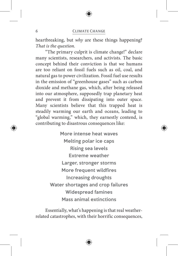#### 6 Climate Change

heartbreaking, but *why* are these things happening? *That is the question.*

"The primary culprit is climate change!" declare many scientists, researchers, and activists. The basic concept behind their conviction is that we humans are too reliant on fossil fuels such as oil, coal, and natural gas to power civilization. Fossil fuel use results in the emission of "greenhouse gases" such as carbon dioxide and methane gas, which, after being released into our atmosphere, supposedly trap planetary heat and prevent it from dissipating into outer space. Many scientists believe that this trapped heat is steadily warming our earth and oceans, leading to "global warming," which, they earnestly contend, is contributing to disastrous consequences like:

> More intense heat waves Melting polar ice caps Rising sea levels Extreme weather Larger, stronger storms More frequent wildfires Increasing droughts Water shortages and crop failures Widespread famines Mass animal extinctions

Essentially, what's happening is that real weatherrelated catastrophes, with their horrific consequences,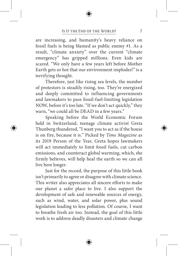#### IS IT THE END OF THE WORLD? 7

are increasing, and humanity's heavy reliance on fossil fuels is being blamed as public enemy #1. As a result, "climate anxiety" over the current "climate emergency" has gripped millions. Even kids are scared. "We only have a few years left before Mother Earth gets so hot that our environment implodes!" is a terrifying thought.

Therefore, just like rising sea levels, the number of protestors is steadily rising, too. They're energized and deeply committed to influencing governments and lawmakers to pass fossil-fuel-limiting legislation NOW, before it's too late. "If we don't act quickly," they warn, "we could all be DEAD in a few years."

Speaking before the World Economic Forum held in Switzerland, teenage climate activist Greta Thunberg thundered, "I want you to act as if the house is on fire, because it is." Picked by *Time Magazine* as its 2019 Person of the Year, Greta hopes lawmakers will act immediately to limit fossil fuels, cut carbon emissions, and counteract global warming, which, she firmly believes, will help heal the earth so we can all live here longer.

Just for the record, the purpose of this little book isn't primarily to agree or disagree with climate science. This writer also appreciates all sincere efforts to make our planet a safer place to live. I also support the development of safe and renewable sources of energy, such as wind, water, and solar power, plus sound legislation leading to less pollution. Of course, I want to breathe fresh air too. Instead, the goal of this little work is to address deadly disasters and climate change